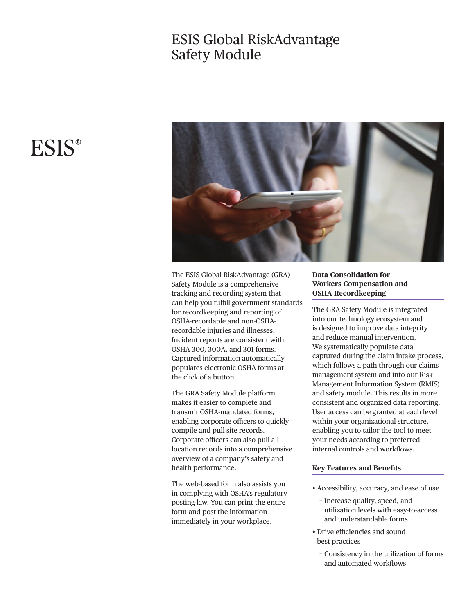## ESIS Global RiskAdvantage Safety Module



The ESIS Global RiskAdvantage (GRA) Safety Module is a comprehensive tracking and recording system that can help you fulfll government standards for recordkeeping and reporting of OSHA-recordable and non-OSHArecordable injuries and illnesses. Incident reports are consistent with OSHA 300, 300A, and 301 forms. Captured information automatically populates electronic OSHA forms at the click of a button.

The GRA Safety Module platform makes it easier to complete and transmit OSHA-mandated forms, enabling corporate officers to quickly compile and pull site records. Corporate officers can also pull all location records into a comprehensive overview of a company's safety and health performance.

The web-based form also assists you in complying with OSHA's regulatory posting law. You can print the entire form and post the information immediately in your workplace.

### **Data Consolidation for Workers Compensation and OSHA Recordkeeping**

The GRA Safety Module is integrated into our technology ecosystem and is designed to improve data integrity and reduce manual intervention. We systematically populate data captured during the claim intake process, which follows a path through our claims management system and into our Risk Management Information System (RMIS) and safety module. This results in more consistent and organized data reporting. User access can be granted at each level within your organizational structure, enabling you to tailor the tool to meet your needs according to preferred internal controls and workflows.

### **Key Features and Benefts**

- Accessibility, accuracy, and ease of use
	- − Increase quality, speed, and utilization levels with easy-to-access and understandable forms
- Drive efficiencies and sound best practices
	- − Consistency in the utilization of forms and automated workfows

# **ESIS®**